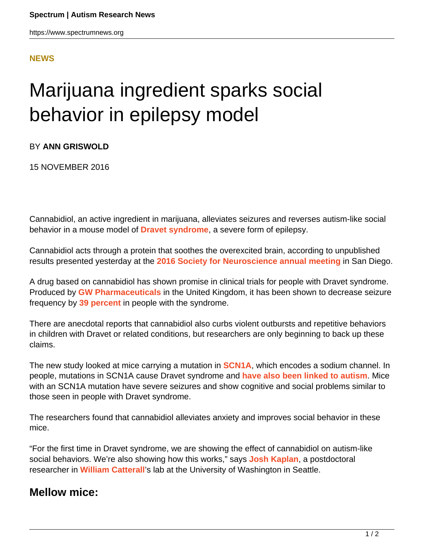## **[NEWS](HTTPS://WWW.SPECTRUMNEWS.ORG/NEWS/)**

## Marijuana ingredient sparks social behavior in epilepsy model

BY **ANN GRISWOLD**

15 NOVEMBER 2016

Cannabidiol, an active ingredient in marijuana, alleviates seizures and reverses autism-like social behavior in a mouse model of **[Dravet syndrome](https://www.spectrumnews.org/news/close-look-at-rare-syndrome-bolsters-autism-epilepsy-link/)**, a severe form of epilepsy.

Cannabidiol acts through a protein that soothes the overexcited brain, according to unpublished results presented yesterday at the **[2016 Society for Neuroscience annual meeting](https://www.spectrumnews.org/conference-news/society-neuroscience-2016/)** in San Diego.

A drug based on cannabidiol has shown promise in clinical trials for people with Dravet syndrome. Produced by **[GW Pharmaceuticals](http://www.gwpharm.com/)** in the United Kingdom, it has been shown to decrease seizure frequency by **[39 percent](https://www.spectrumnews.org/features/deep-dive/the-pioneers-parents-treating-autism-with-marijuana/)** in people with the syndrome.

There are anecdotal reports that cannabidiol also curbs violent outbursts and repetitive behaviors in children with Dravet or related conditions, but researchers are only beginning to back up these claims.

The new study looked at mice carrying a mutation in **[SCN1A](https://gene.sfari.org/GeneDetail/SCN1A)**, which encodes a sodium channel. In people, mutations in SCN1A cause Dravet syndrome and **[have also been linked to autism](https://www.spectrumnews.org/news/family-sequencing-study-boosts-two-hit-model-of-autism/)**. Mice with an SCN1A mutation have severe seizures and show cognitive and social problems similar to those seen in people with Dravet syndrome.

The researchers found that cannabidiol alleviates anxiety and improves social behavior in these mice.

"For the first time in Dravet syndrome, we are showing the effect of cannabidiol on autism-like social behaviors. We're also showing how this works," says **[Josh Kaplan](http://neurokaplan.com/research/)**, a postdoctoral researcher in **[William Catterall](http://depts.washington.edu/phcol/faculty/catterall.php)**'s lab at the University of Washington in Seattle.

## **Mellow mice:**